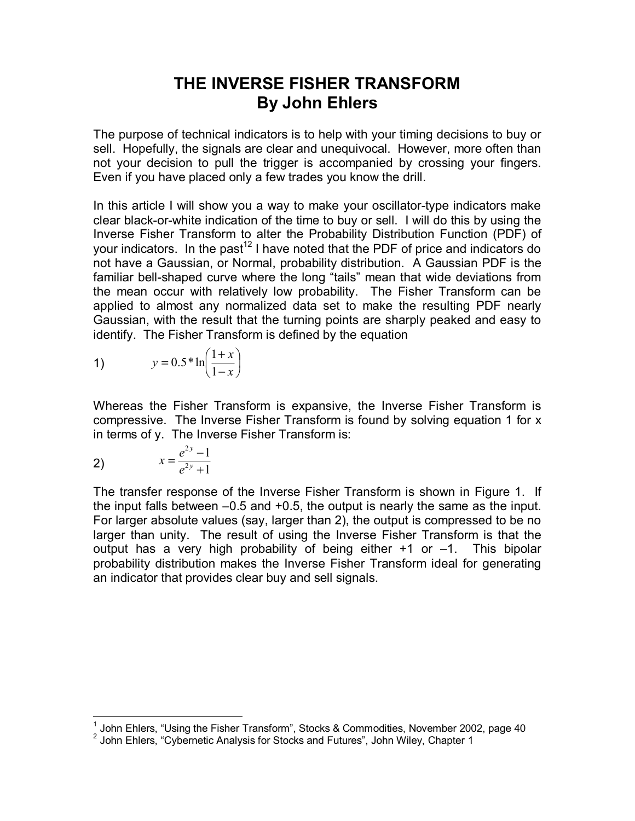## **THE INVERSE FISHER TRANSFORM By John Ehlers**

The purpose of technical indicators is to help with your timing decisions to buy or sell. Hopefully, the signals are clear and unequivocal. However, more often than not your decision to pull the trigger is accompanied by crossing your fingers. Even if you have placed only a few trades you know the drill.

In this article I will show you a way to make your oscillator-type indicators make clear black-or-white indication of the time to buy or sell. I will do this by using the Inverse Fisher Transform to alter the Probability Distribution Function (PDF) of your indicators. In the past<sup>12</sup> I have noted that the PDF of price and indicators do not have a Gaussian, or Normal, probability distribution. A Gaussian PDF is the familiar bell-shaped curve where the long "tails" mean that wide deviations from the mean occur with relatively low probability. The Fisher Transform can be applied to almost any normalized data set to make the resulting PDF nearly Gaussian, with the result that the turning points are sharply peaked and easy to identify. The Fisher Transform is defined by the equation

$$
y = 0.5 * \ln\left(\frac{1+x}{1-x}\right)
$$

Whereas the Fisher Transform is expansive, the Inverse Fisher Transform is compressive. The Inverse Fisher Transform is found by solving equation 1 for x in terms of y. The Inverse Fisher Transform is:

2) 
$$
x = \frac{e^{2y} - 1}{e^{2y} + 1}
$$

The transfer response of the Inverse Fisher Transform is shown in Figure 1. If the input falls between –0.5 and +0.5, the output is nearly the same as the input. For larger absolute values (say, larger than 2), the output is compressed to be no larger than unity. The result of using the Inverse Fisher Transform is that the output has a very high probability of being either +1 or –1. This bipolar probability distribution makes the Inverse Fisher Transform ideal for generating an indicator that provides clear buy and sell signals.

 1 John Ehlers, "Using the Fisher Transform", Stocks & Commodities, November 2002, page 40

 $2$  John Ehlers, "Cybernetic Analysis for Stocks and Futures", John Wiley, Chapter 1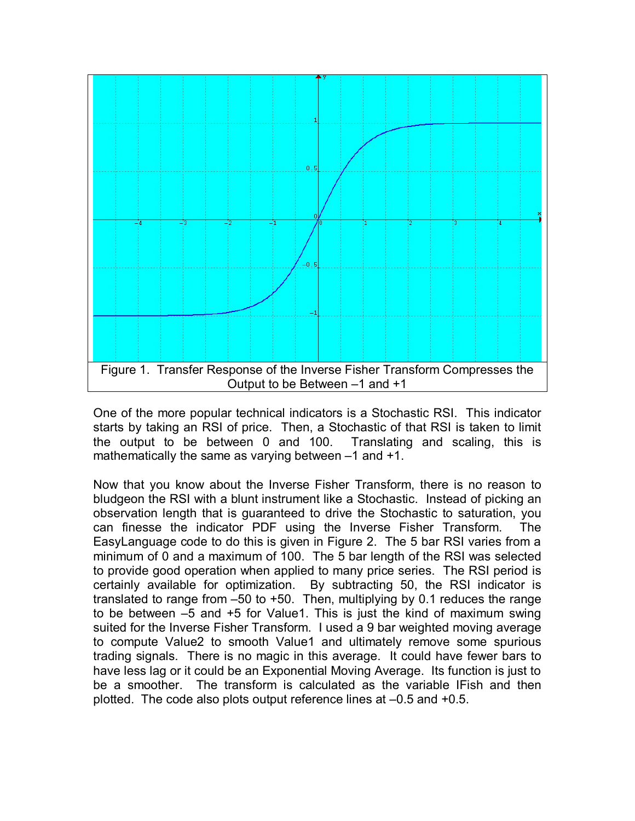

One of the more popular technical indicators is a Stochastic RSI. This indicator starts by taking an RSI of price. Then, a Stochastic of that RSI is taken to limit the output to be between 0 and 100. Translating and scaling, this is mathematically the same as varying between –1 and +1.

Now that you know about the Inverse Fisher Transform, there is no reason to bludgeon the RSI with a blunt instrument like a Stochastic. Instead of picking an observation length that is guaranteed to drive the Stochastic to saturation, you can finesse the indicator PDF using the Inverse Fisher Transform. The EasyLanguage code to do this is given in Figure 2. The 5 bar RSI varies from a minimum of 0 and a maximum of 100. The 5 bar length of the RSI was selected to provide good operation when applied to many price series. The RSI period is certainly available for optimization. By subtracting 50, the RSI indicator is translated to range from –50 to +50. Then, multiplying by 0.1 reduces the range to be between –5 and +5 for Value1. This is just the kind of maximum swing suited for the Inverse Fisher Transform. I used a 9 bar weighted moving average to compute Value2 to smooth Value1 and ultimately remove some spurious trading signals. There is no magic in this average. It could have fewer bars to have less lag or it could be an Exponential Moving Average. Its function is just to be a smoother. The transform is calculated as the variable IFish and then plotted. The code also plots output reference lines at –0.5 and +0.5.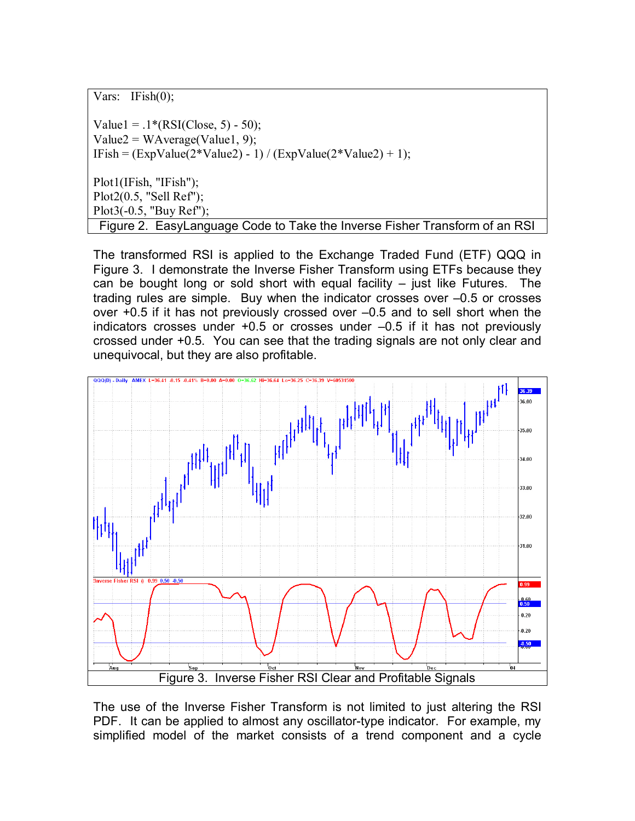Vars: IFish(0);

Value1 =  $.1*(RSI(Close, 5) - 50);$  $Value2 = WAverage(Value1, 9);$ IFish =  $(ExpValue(2*Value2) - 1) / (ExpValue(2*Value2) + 1);$ Plot1(IFish, "IFish"); Plot2(0.5, "Sell Ref"); Plot3(-0.5, "Buy Ref"); Figure 2. EasyLanguage Code to Take the Inverse Fisher Transform of an RSI

The transformed RSI is applied to the Exchange Traded Fund (ETF) QQQ in Figure 3. I demonstrate the Inverse Fisher Transform using ETFs because they can be bought long or sold short with equal facility – just like Futures. The trading rules are simple. Buy when the indicator crosses over –0.5 or crosses over +0.5 if it has not previously crossed over –0.5 and to sell short when the indicators crosses under +0.5 or crosses under –0.5 if it has not previously crossed under +0.5. You can see that the trading signals are not only clear and unequivocal, but they are also profitable.



The use of the Inverse Fisher Transform is not limited to just altering the RSI PDF. It can be applied to almost any oscillator-type indicator. For example, my simplified model of the market consists of a trend component and a cycle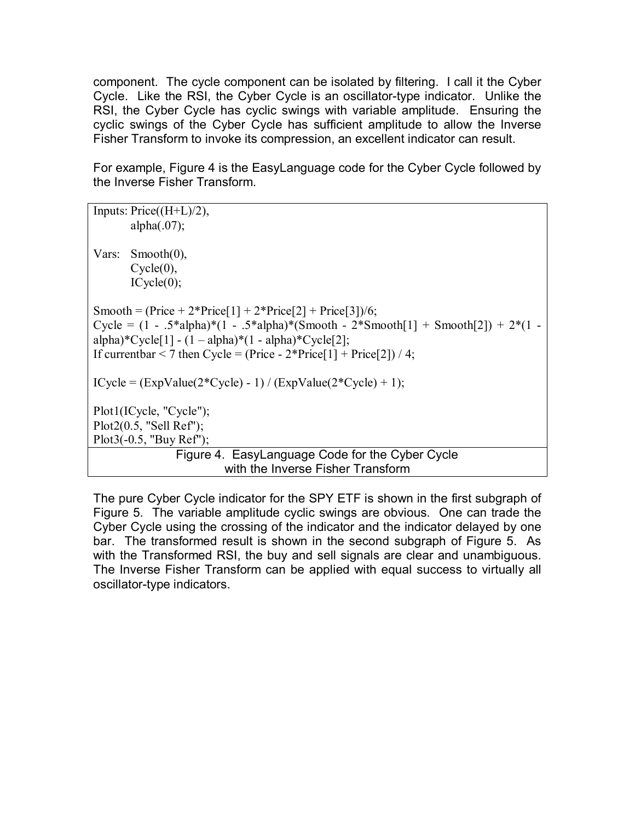component. The cycle component can be isolated by filtering. I call it the Cyber Cycle. Like the RSI, the Cyber Cycle is an oscillator-type indicator. Unlike the RSI, the Cyber Cycle has cyclic swings with variable amplitude. Ensuring the cyclic swings of the Cyber Cycle has sufficient amplitude to allow the Inverse Fisher Transform to invoke its compression, an excellent indicator can result.

For example, Figure 4 is the EasyLanguage code for the Cyber Cycle followed by the Inverse Fisher Transform.

|                                                                                          | Inputs: $Price((H+L)/2),$                       |
|------------------------------------------------------------------------------------------|-------------------------------------------------|
|                                                                                          | alpha $(.07)$ ;                                 |
|                                                                                          |                                                 |
|                                                                                          | Vars: Smooth $(0)$ ,                            |
|                                                                                          | $Cycle(0)$ ,                                    |
|                                                                                          | $ICycle(0)$ ;                                   |
| Smooth = $(Price + 2*Price[1] + 2*Price[2] + Price[3])/6;$                               |                                                 |
| Cycle = $(1 - .5 * alpha)*(1 - .5 * alpha)*(Smooth - 2 *Smooth[1] + Smooth[2]) + 2*(1 -$ |                                                 |
| alpha)*Cycle[1] - $(1 - alpha)$ * $(1 - alpha)$ *Cycle[2];                               |                                                 |
| If current bar < 7 then Cycle = (Price - $2*Price[1] + Price[2]) / 4$ ;                  |                                                 |
|                                                                                          |                                                 |
| $ICycle = (ExpValue(2*Cycle) - 1) / (ExpValue(2*Cycle) + 1);$                            |                                                 |
|                                                                                          |                                                 |
|                                                                                          | Plot1(ICycle, "Cycle");                         |
|                                                                                          | Plot2(0.5, "Sell Ref");                         |
|                                                                                          | $Plot3(-0.5, "Buy Ref");$                       |
|                                                                                          | Figure 4. EasyLanguage Code for the Cyber Cycle |
|                                                                                          | with the Inverse Fisher Transform               |

The pure Cyber Cycle indicator for the SPY ETF is shown in the first subgraph of Figure 5. The variable amplitude cyclic swings are obvious. One can trade the Cyber Cycle using the crossing of the indicator and the indicator delayed by one bar. The transformed result is shown in the second subgraph of Figure 5. As with the Transformed RSI, the buy and sell signals are clear and unambiguous. The Inverse Fisher Transform can be applied with equal success to virtually all oscillator-type indicators.